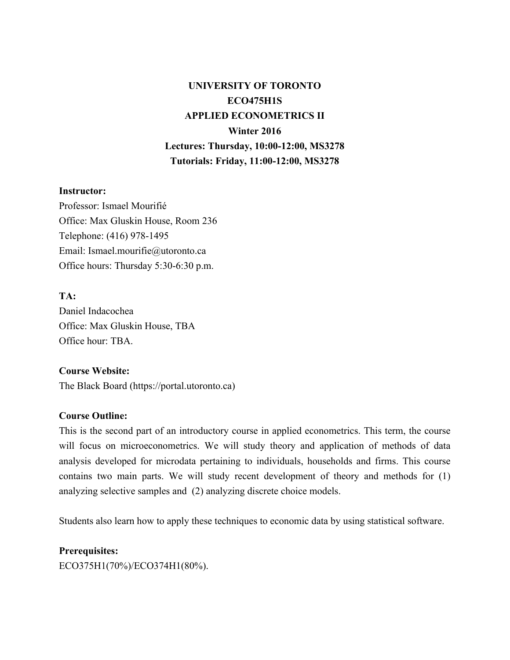# **UNIVERSITY OF TORONTO ECO475H1S APPLIED ECONOMETRICS II Winter 2016 Lectures: Thursday, 10:00-12:00, MS3278 Tutorials: Friday, 11:00-12:00, MS3278**

#### **Instructor:**

Professor: Ismael Mourifié Office: Max Gluskin House, Room 236 Telephone: (416) 978-1495 Email: Ismael.mourifie@utoronto.ca Office hours: Thursday 5:30-6:30 p.m.

# **TA:**

Daniel Indacochea Office: Max Gluskin House, TBA Office hour: TBA.

#### **Course Website:**

The Black Board (https://portal.utoronto.ca)

#### **Course Outline:**

This is the second part of an introductory course in applied econometrics. This term, the course will focus on microeconometrics. We will study theory and application of methods of data analysis developed for microdata pertaining to individuals, households and firms. This course contains two main parts. We will study recent development of theory and methods for (1) analyzing selective samples and (2) analyzing discrete choice models.

Students also learn how to apply these techniques to economic data by using statistical software.

# **Prerequisites:**

ECO375H1(70%)/ECO374H1(80%).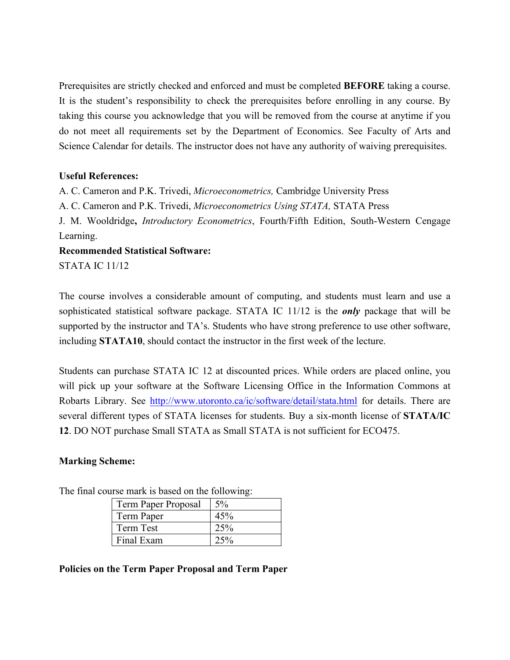Prerequisites are strictly checked and enforced and must be completed **BEFORE** taking a course. It is the student's responsibility to check the prerequisites before enrolling in any course. By taking this course you acknowledge that you will be removed from the course at anytime if you do not meet all requirements set by the Department of Economics. See Faculty of Arts and Science Calendar for details. The instructor does not have any authority of waiving prerequisites.

# **Useful References:**

A. C. Cameron and P.K. Trivedi, *Microeconometrics,* Cambridge University Press

A. C. Cameron and P.K. Trivedi, *Microeconometrics Using STATA,* STATA Press

J. M. Wooldridge**,** *Introductory Econometrics*, Fourth/Fifth Edition, South-Western Cengage Learning.

# **Recommended Statistical Software:**

STATA IC 11/12

The course involves a considerable amount of computing, and students must learn and use a sophisticated statistical software package. STATA IC 11/12 is the *only* package that will be supported by the instructor and TA's. Students who have strong preference to use other software, including **STATA10**, should contact the instructor in the first week of the lecture.

Students can purchase STATA IC 12 at discounted prices. While orders are placed online, you will pick up your software at the Software Licensing Office in the Information Commons at Robarts Library. See http://www.utoronto.ca/ic/software/detail/stata.html for details. There are several different types of STATA licenses for students. Buy a six-month license of **STATA/IC 12**. DO NOT purchase Small STATA as Small STATA is not sufficient for ECO475.

# **Marking Scheme:**

The final course mark is based on the following:

| Term Paper Proposal | $5\%$ |
|---------------------|-------|
| Term Paper          | 45%   |
| Term Test           | 25%   |
| Final Exam          | 25%   |

#### **Policies on the Term Paper Proposal and Term Paper**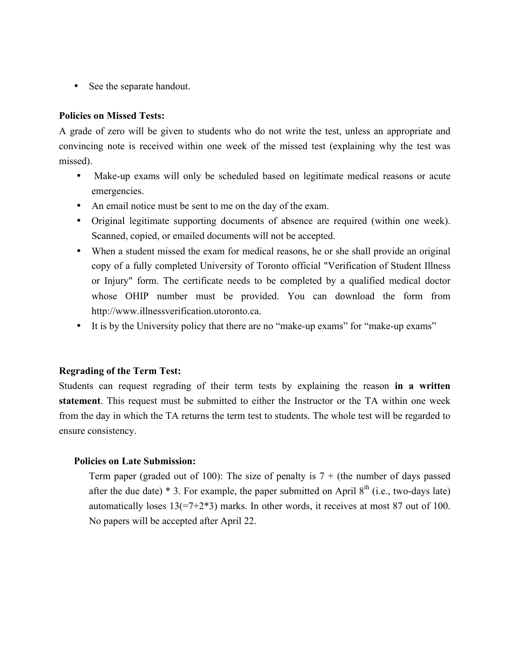• See the separate handout.

#### **Policies on Missed Tests:**

A grade of zero will be given to students who do not write the test, unless an appropriate and convincing note is received within one week of the missed test (explaining why the test was missed).

- Make-up exams will only be scheduled based on legitimate medical reasons or acute emergencies.
- An email notice must be sent to me on the day of the exam.
- Original legitimate supporting documents of absence are required (within one week). Scanned, copied, or emailed documents will not be accepted.
- When a student missed the exam for medical reasons, he or she shall provide an original copy of a fully completed University of Toronto official "Verification of Student Illness or Injury" form. The certificate needs to be completed by a qualified medical doctor whose OHIP number must be provided. You can download the form from http://www.illnessverification.utoronto.ca.
- It is by the University policy that there are no "make-up exams" for "make-up exams"

# **Regrading of the Term Test:**

Students can request regrading of their term tests by explaining the reason **in a written statement**. This request must be submitted to either the Instructor or the TA within one week from the day in which the TA returns the term test to students. The whole test will be regarded to ensure consistency.

#### **Policies on Late Submission:**

Term paper (graded out of 100): The size of penalty is  $7 +$  (the number of days passed after the due date)  $*$  3. For example, the paper submitted on April  $8<sup>th</sup>$  (i.e., two-days late) automatically loses  $13(=7+2*3)$  marks. In other words, it receives at most 87 out of 100. No papers will be accepted after April 22.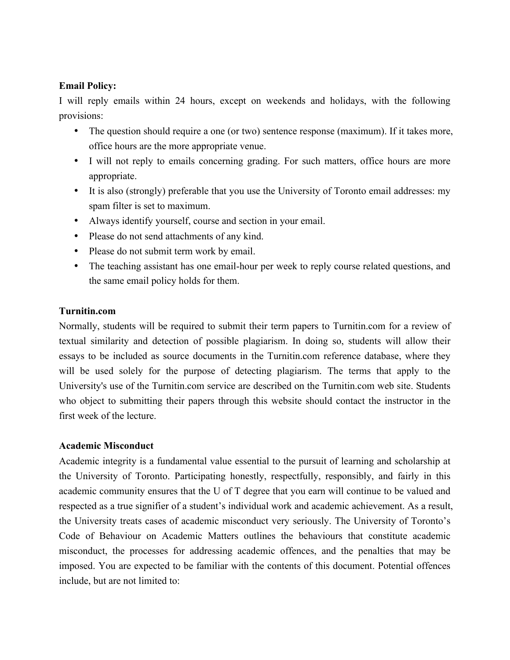# **Email Policy:**

I will reply emails within 24 hours, except on weekends and holidays, with the following provisions:

- The question should require a one (or two) sentence response (maximum). If it takes more, office hours are the more appropriate venue.
- I will not reply to emails concerning grading. For such matters, office hours are more appropriate.
- It is also (strongly) preferable that you use the University of Toronto email addresses: my spam filter is set to maximum.
- Always identify yourself, course and section in your email.
- Please do not send attachments of any kind.
- Please do not submit term work by email.
- The teaching assistant has one email-hour per week to reply course related questions, and the same email policy holds for them.

# **Turnitin.com**

Normally, students will be required to submit their term papers to Turnitin.com for a review of textual similarity and detection of possible plagiarism. In doing so, students will allow their essays to be included as source documents in the Turnitin.com reference database, where they will be used solely for the purpose of detecting plagiarism. The terms that apply to the University's use of the Turnitin.com service are described on the Turnitin.com web site. Students who object to submitting their papers through this website should contact the instructor in the first week of the lecture.

#### **Academic Misconduct**

Academic integrity is a fundamental value essential to the pursuit of learning and scholarship at the University of Toronto. Participating honestly, respectfully, responsibly, and fairly in this academic community ensures that the U of T degree that you earn will continue to be valued and respected as a true signifier of a student's individual work and academic achievement. As a result, the University treats cases of academic misconduct very seriously. The University of Toronto's Code of Behaviour on Academic Matters outlines the behaviours that constitute academic misconduct, the processes for addressing academic offences, and the penalties that may be imposed. You are expected to be familiar with the contents of this document. Potential offences include, but are not limited to: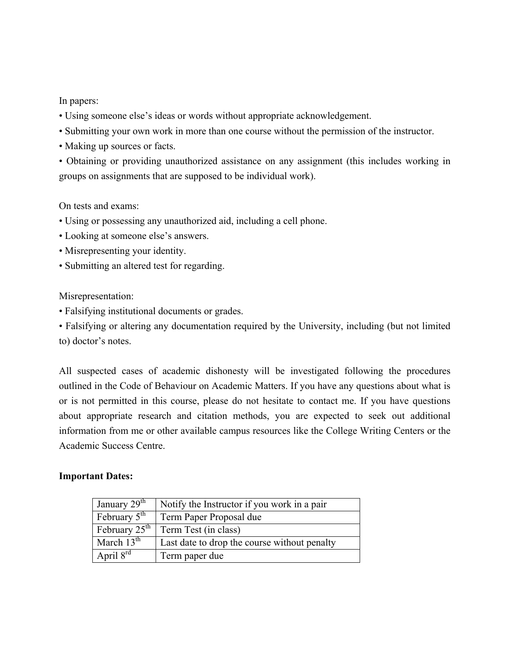# In papers:

- Using someone else's ideas or words without appropriate acknowledgement.
- Submitting your own work in more than one course without the permission of the instructor.
- Making up sources or facts.
- Obtaining or providing unauthorized assistance on any assignment (this includes working in groups on assignments that are supposed to be individual work).

# On tests and exams:

- Using or possessing any unauthorized aid, including a cell phone.
- Looking at someone else's answers.
- Misrepresenting your identity.
- Submitting an altered test for regarding.

#### Misrepresentation:

• Falsifying institutional documents or grades.

• Falsifying or altering any documentation required by the University, including (but not limited to) doctor's notes.

All suspected cases of academic dishonesty will be investigated following the procedures outlined in the Code of Behaviour on Academic Matters. If you have any questions about what is or is not permitted in this course, please do not hesitate to contact me. If you have questions about appropriate research and citation methods, you are expected to seek out additional information from me or other available campus resources like the College Writing Centers or the Academic Success Centre.

#### **Important Dates:**

| January $29th$            | Notify the Instructor if you work in a pair  |
|---------------------------|----------------------------------------------|
| February $5^{\text{th}}$  | Term Paper Proposal due                      |
| February $25^{\text{th}}$ | Term Test (in class)                         |
| March $13th$              | Last date to drop the course without penalty |
| April $8^{rd}$            | Term paper due                               |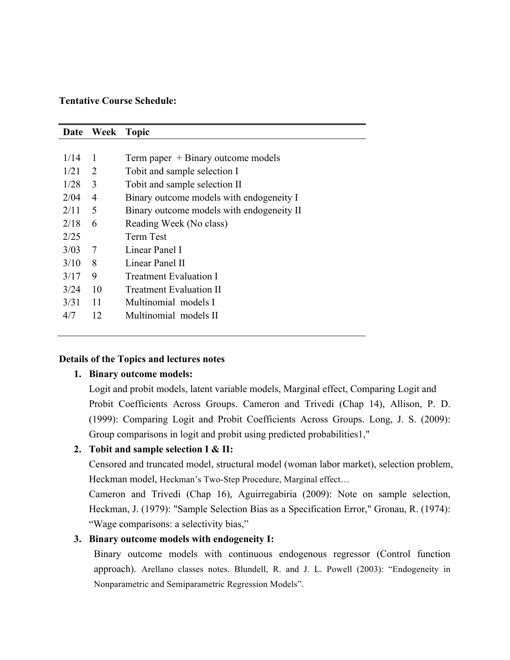#### **Tentative Course Schedule:**

| Date | Week | <b>Topic</b>                              |
|------|------|-------------------------------------------|
|      |      |                                           |
| 1/14 | -1   | Term paper $+$ Binary outcome models      |
| 1/21 | 2    | Tobit and sample selection I              |
| 1/28 | 3    | Tobit and sample selection II             |
| 2/04 | 4    | Binary outcome models with endogeneity I  |
| 2/11 | 5    | Binary outcome models with endogeneity II |
| 2/18 | 6    | Reading Week (No class)                   |
| 2/25 |      | <b>Term Test</b>                          |
| 3/03 | 7    | Linear Panel I                            |
| 3/10 | 8    | Linear Panel II                           |
| 3/17 | 9    | <b>Treatment Evaluation I</b>             |
| 3/24 | 10   | <b>Treatment Evaluation II</b>            |
| 3/31 | 11   | Multinomial models I                      |
| 4/7  | 12   | Multinomial models II                     |

#### **Details of the Topics and lectures notes**

#### **1. Binary outcome models:**

 Logit and probit models, latent variable models, Marginal effect, Comparing Logit and Probit Coefficients Across Groups. Cameron and Trivedi (Chap 14), Allison, P. D. (1999): Comparing Logit and Probit Coefficients Across Groups. Long, J. S. (2009): Group comparisons in logit and probit using predicted probabilities1,"

# **2. Tobit and sample selection I & II:**

Censored and truncated model, structural model (woman labor market), selection problem, Heckman model, Heckman's Two-Step Procedure, Marginal effect…

Cameron and Trivedi (Chap 16), Aguirregabiria (2009): Note on sample selection, Heckman, J. (1979): "Sample Selection Bias as a Specification Error," Gronau, R. (1974): "Wage comparisons: a selectivity bias,"

#### **3. Binary outcome models with endogeneity I:**

Binary outcome models with continuous endogenous regressor (Control function approach). Arellano classes notes. Blundell, R. and J. L. Powell (2003): "Endogeneity in Nonparametric and Semiparametric Regression Models".